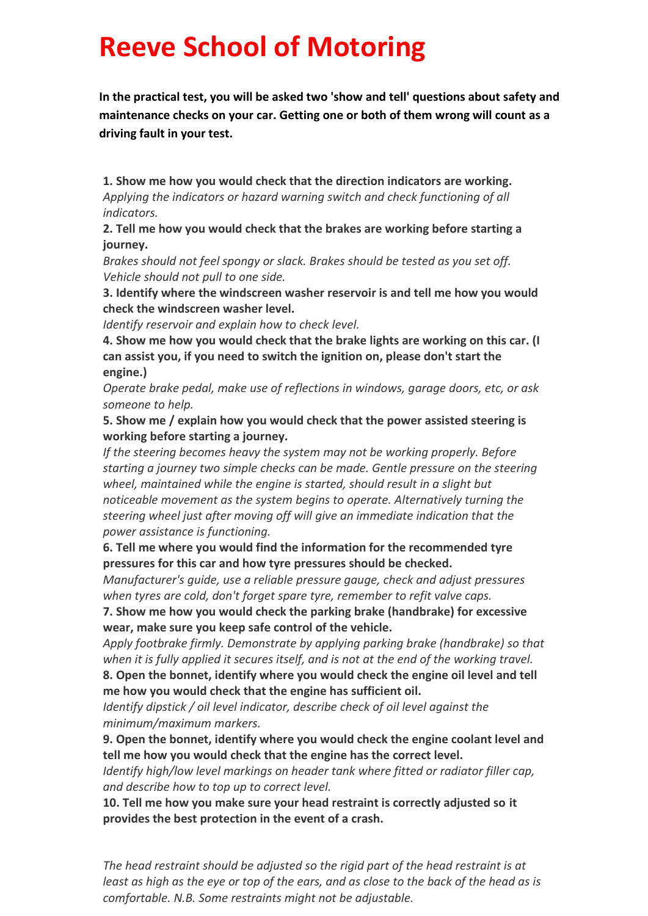## **Reeve School of Motoring**

 **In the practical test, you will be asked two 'show and tell' questions about safety and maintenance checks on your car. Getting one or both of them wrong will count as a driving fault in your test.**

**1. Show me how you would check that the direction indicators are working.** *Applying the indicators or hazard warning switch and check functioning of all indicators.*

**2. Tell me how you would check that the brakes are working before starting a journey.**

*Brakes should not feel spongy or slack. Brakes should be tested as you set off. Vehicle should not pull to one side.*

**3. Identify where the windscreen washer reservoir is and tell me how you would check the windscreen washer level.**

*Identify reservoir and explain how to check level.*

**4. Show me how you would check that the brake lights are working on this car. (I can assist you, if you need to switch the ignition on, please don't start the engine.)**

*Operate brake pedal, make use of reflections in windows, garage doors, etc, or ask someone to help.*

**5. Show me / explain how you would check that the power assisted steering is working before starting a journey.**

*If the steering becomes heavy the system may not be working properly. Before starting a journey two simple checks can be made. Gentle pressure on the steering wheel, maintained while the engine is started, should result in a slight but noticeable movement as the system begins to operate. Alternatively turning the steering wheel just after moving off will give an immediate indication that the power assistance is functioning.*

**6. Tell me where you would find the information for the recommended tyre pressures for this car and how tyre pressures should be checked.**

*Manufacturer's guide, use a reliable pressure gauge, check and adjust pressures when tyres are cold, don't forget spare tyre, remember to refit valve caps.*

**7. Show me how you would check the parking brake (handbrake) for excessive wear, make sure you keep safe control of the vehicle.**

*Apply footbrake firmly. Demonstrate by applying parking brake (handbrake) so that when it is fully applied it secures itself, and is not at the end of the working travel.*

**8. Open the bonnet, identify where you would check the engine oil level and tell me how you would check that the engine has sufficient oil.**

*Identify dipstick / oil level indicator, describe check of oil level against the minimum/maximum markers.*

**9. Open the bonnet, identify where you would check the engine coolant level and tell me how you would check that the engine has the correct level.**

*Identify high/low level markings on header tank where fitted or radiator filler cap, and describe how to top up to correct level.*

**10. Tell me how you make sure your head restraint is correctly adjusted so it provides the best protection in the event of a crash.**

*The head restraint should be adjusted so the rigid part of the head restraint is at least as high as the eye or top of the ears, and as close to the back of the head as is comfortable. N.B. Some restraints might not be adjustable.*